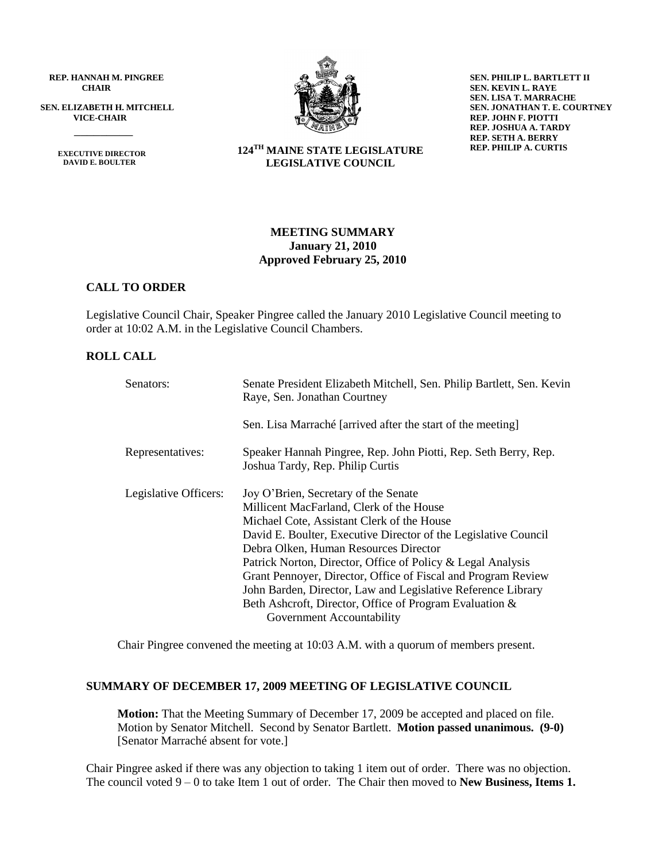**REP. HANNAH M. PINGREE CHAIR**

**SEN. ELIZABETH H. MITCHELL VICE-CHAIR**

> **EXECUTIVE DIRECTOR DAVID E. BOULTER**

 $\frac{1}{\sqrt{2}}$ 



**SEN. PHILIP L. BARTLETT II SEN. KEVIN L. RAYE SEN. LISA T. MARRACHE SEN. JONATHAN T. E. COURTNEY REP. JOHN F. PIOTTI REP. JOSHUA A. TARDY REP. SETH A. BERRY REP. PHILIP A. CURTIS**

### **124TH MAINE STATE LEGISLATURE LEGISLATIVE COUNCIL**

# **MEETING SUMMARY January 21, 2010 Approved February 25, 2010**

# **CALL TO ORDER**

Legislative Council Chair, Speaker Pingree called the January 2010 Legislative Council meeting to order at 10:02 A.M. in the Legislative Council Chambers.

# **ROLL CALL**

| Senators:             | Senate President Elizabeth Mitchell, Sen. Philip Bartlett, Sen. Kevin<br>Raye, Sen. Jonathan Courtney                                                                                                                                                                                                                                                                                                                                                                                                                              |  |  |  |
|-----------------------|------------------------------------------------------------------------------------------------------------------------------------------------------------------------------------------------------------------------------------------------------------------------------------------------------------------------------------------------------------------------------------------------------------------------------------------------------------------------------------------------------------------------------------|--|--|--|
|                       | Sen. Lisa Marraché [arrived after the start of the meeting]                                                                                                                                                                                                                                                                                                                                                                                                                                                                        |  |  |  |
| Representatives:      | Speaker Hannah Pingree, Rep. John Piotti, Rep. Seth Berry, Rep.<br>Joshua Tardy, Rep. Philip Curtis                                                                                                                                                                                                                                                                                                                                                                                                                                |  |  |  |
| Legislative Officers: | Joy O'Brien, Secretary of the Senate<br>Millicent MacFarland, Clerk of the House<br>Michael Cote, Assistant Clerk of the House<br>David E. Boulter, Executive Director of the Legislative Council<br>Debra Olken, Human Resources Director<br>Patrick Norton, Director, Office of Policy & Legal Analysis<br>Grant Pennoyer, Director, Office of Fiscal and Program Review<br>John Barden, Director, Law and Legislative Reference Library<br>Beth Ashcroft, Director, Office of Program Evaluation &<br>Government Accountability |  |  |  |

Chair Pingree convened the meeting at 10:03 A.M. with a quorum of members present.

#### **SUMMARY OF DECEMBER 17, 2009 MEETING OF LEGISLATIVE COUNCIL**

**Motion:** That the Meeting Summary of December 17, 2009 be accepted and placed on file. Motion by Senator Mitchell. Second by Senator Bartlett. **Motion passed unanimous. (9-0)**  [Senator Marraché absent for vote.]

Chair Pingree asked if there was any objection to taking 1 item out of order. There was no objection. The council voted 9 – 0 to take Item 1 out of order. The Chair then moved to **New Business, Items 1.**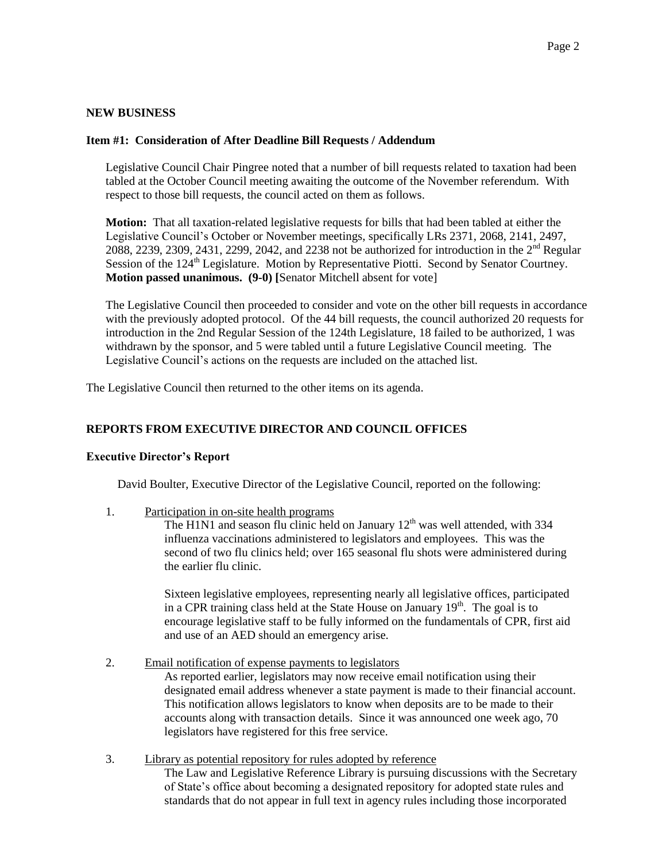## **NEW BUSINESS**

## **Item #1: Consideration of After Deadline Bill Requests / Addendum**

Legislative Council Chair Pingree noted that a number of bill requests related to taxation had been tabled at the October Council meeting awaiting the outcome of the November referendum. With respect to those bill requests, the council acted on them as follows.

**Motion:** That all taxation-related legislative requests for bills that had been tabled at either the Legislative Council's October or November meetings, specifically LRs 2371, 2068, 2141, 2497, 2088, 2239, 2309, 2431, 2299, 2042, and 2238 not be authorized for introduction in the  $2<sup>nd</sup>$  Regular Session of the 124<sup>th</sup> Legislature. Motion by Representative Piotti. Second by Senator Courtney. **Motion passed unanimous. (9-0) [**Senator Mitchell absent for vote]

The Legislative Council then proceeded to consider and vote on the other bill requests in accordance with the previously adopted protocol. Of the 44 bill requests, the council authorized 20 requests for introduction in the 2nd Regular Session of the 124th Legislature, 18 failed to be authorized, 1 was withdrawn by the sponsor, and 5 were tabled until a future Legislative Council meeting. The Legislative Council's actions on the requests are included on the attached list.

The Legislative Council then returned to the other items on its agenda.

## **REPORTS FROM EXECUTIVE DIRECTOR AND COUNCIL OFFICES**

## **Executive Director's Report**

David Boulter, Executive Director of the Legislative Council, reported on the following:

1. Participation in on-site health programs

The H1N1 and season flu clinic held on January  $12<sup>th</sup>$  was well attended, with 334 influenza vaccinations administered to legislators and employees. This was the second of two flu clinics held; over 165 seasonal flu shots were administered during the earlier flu clinic.

Sixteen legislative employees, representing nearly all legislative offices, participated in a CPR training class held at the State House on January  $19<sup>th</sup>$ . The goal is to encourage legislative staff to be fully informed on the fundamentals of CPR, first aid and use of an AED should an emergency arise.

2. Email notification of expense payments to legislators

As reported earlier, legislators may now receive email notification using their designated email address whenever a state payment is made to their financial account. This notification allows legislators to know when deposits are to be made to their accounts along with transaction details. Since it was announced one week ago, 70 legislators have registered for this free service.

3. Library as potential repository for rules adopted by reference

The Law and Legislative Reference Library is pursuing discussions with the Secretary of State's office about becoming a designated repository for adopted state rules and standards that do not appear in full text in agency rules including those incorporated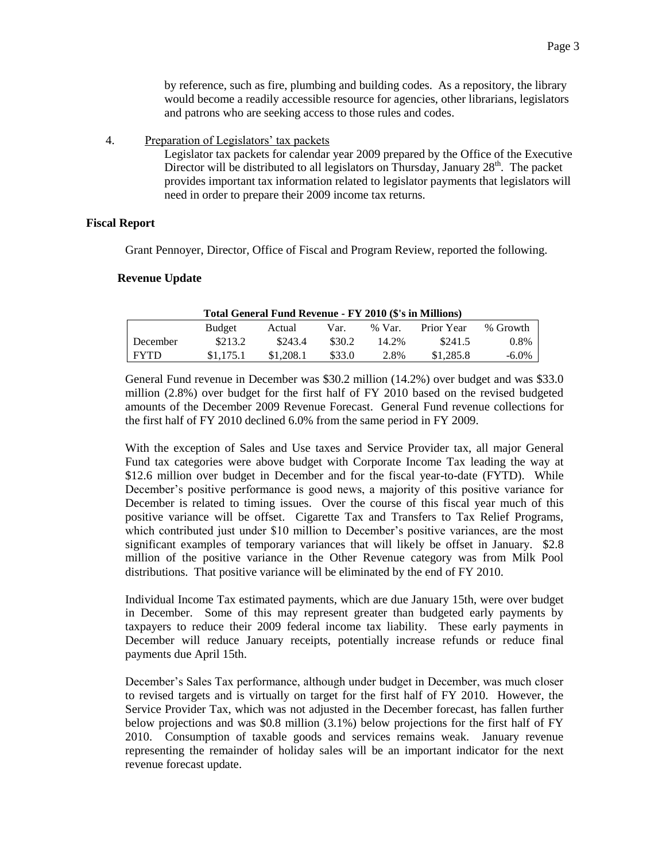by reference, such as fire, plumbing and building codes. As a repository, the library would become a readily accessible resource for agencies, other librarians, legislators and patrons who are seeking access to those rules and codes.

4. Preparation of Legislators' tax packets

Legislator tax packets for calendar year 2009 prepared by the Office of the Executive Director will be distributed to all legislators on Thursday, January  $28<sup>th</sup>$ . The packet provides important tax information related to legislator payments that legislators will need in order to prepare their 2009 income tax returns.

### **Fiscal Report**

Grant Pennoyer, Director, Office of Fiscal and Program Review, reported the following.

#### **Revenue Update**

| Total General Fund Revenue - FY 2010 (\$'s in Millions) |           |           |        |          |            |          |
|---------------------------------------------------------|-----------|-----------|--------|----------|------------|----------|
|                                                         | Budget    | Actual    | Var.   | $%$ Var. | Prior Year | % Growth |
| December                                                | \$213.2   | \$243.4   | \$30.2 | 14.2%    | \$241.5    | 0.8%     |
| <b>FYTD</b>                                             | \$1,175.1 | \$1,208.1 | \$33.0 | 2.8%     | \$1,285.8  | -6.0%    |
|                                                         |           |           |        |          |            |          |

General Fund revenue in December was \$30.2 million (14.2%) over budget and was \$33.0 million (2.8%) over budget for the first half of FY 2010 based on the revised budgeted amounts of the December 2009 Revenue Forecast. General Fund revenue collections for the first half of FY 2010 declined 6.0% from the same period in FY 2009.

With the exception of Sales and Use taxes and Service Provider tax, all major General Fund tax categories were above budget with Corporate Income Tax leading the way at \$12.6 million over budget in December and for the fiscal year-to-date (FYTD). While December's positive performance is good news, a majority of this positive variance for December is related to timing issues. Over the course of this fiscal year much of this positive variance will be offset. Cigarette Tax and Transfers to Tax Relief Programs, which contributed just under \$10 million to December's positive variances, are the most significant examples of temporary variances that will likely be offset in January. \$2.8 million of the positive variance in the Other Revenue category was from Milk Pool distributions. That positive variance will be eliminated by the end of FY 2010.

Individual Income Tax estimated payments, which are due January 15th, were over budget in December. Some of this may represent greater than budgeted early payments by taxpayers to reduce their 2009 federal income tax liability. These early payments in December will reduce January receipts, potentially increase refunds or reduce final payments due April 15th.

December's Sales Tax performance, although under budget in December, was much closer to revised targets and is virtually on target for the first half of FY 2010. However, the Service Provider Tax, which was not adjusted in the December forecast, has fallen further below projections and was \$0.8 million (3.1%) below projections for the first half of FY 2010. Consumption of taxable goods and services remains weak. January revenue representing the remainder of holiday sales will be an important indicator for the next revenue forecast update.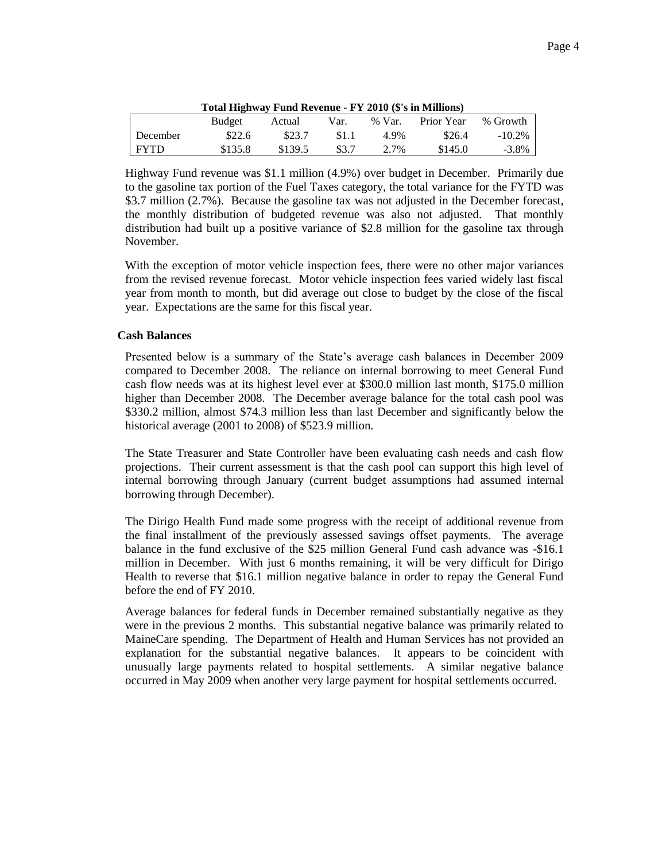|--|--|

| Total Highway Fund Revenue - FY 2010 (\$'s in Millions) |         |         |       |          |            |           |
|---------------------------------------------------------|---------|---------|-------|----------|------------|-----------|
|                                                         | Budget  | Actual  | Var.  | $%$ Var. | Prior Year | % Growth  |
| December                                                | \$22.6  | \$23.7  | \$1.1 | 4.9%     | \$26.4     | $-10.2\%$ |
| <b>FYTD</b>                                             | \$135.8 | \$139.5 | \$3.7 | 2.7%     | \$145.0    | $-3.8\%$  |

Highway Fund revenue was \$1.1 million (4.9%) over budget in December. Primarily due to the gasoline tax portion of the Fuel Taxes category, the total variance for the FYTD was \$3.7 million (2.7%). Because the gasoline tax was not adjusted in the December forecast, the monthly distribution of budgeted revenue was also not adjusted. That monthly distribution had built up a positive variance of \$2.8 million for the gasoline tax through November.

With the exception of motor vehicle inspection fees, there were no other major variances from the revised revenue forecast. Motor vehicle inspection fees varied widely last fiscal year from month to month, but did average out close to budget by the close of the fiscal year. Expectations are the same for this fiscal year.

#### **Cash Balances**

Presented below is a summary of the State's average cash balances in December 2009 compared to December 2008. The reliance on internal borrowing to meet General Fund cash flow needs was at its highest level ever at \$300.0 million last month, \$175.0 million higher than December 2008. The December average balance for the total cash pool was \$330.2 million, almost \$74.3 million less than last December and significantly below the historical average (2001 to 2008) of \$523.9 million.

The State Treasurer and State Controller have been evaluating cash needs and cash flow projections. Their current assessment is that the cash pool can support this high level of internal borrowing through January (current budget assumptions had assumed internal borrowing through December).

The Dirigo Health Fund made some progress with the receipt of additional revenue from the final installment of the previously assessed savings offset payments. The average balance in the fund exclusive of the \$25 million General Fund cash advance was -\$16.1 million in December. With just 6 months remaining, it will be very difficult for Dirigo Health to reverse that \$16.1 million negative balance in order to repay the General Fund before the end of FY 2010.

Average balances for federal funds in December remained substantially negative as they were in the previous 2 months. This substantial negative balance was primarily related to MaineCare spending. The Department of Health and Human Services has not provided an explanation for the substantial negative balances. It appears to be coincident with unusually large payments related to hospital settlements. A similar negative balance occurred in May 2009 when another very large payment for hospital settlements occurred.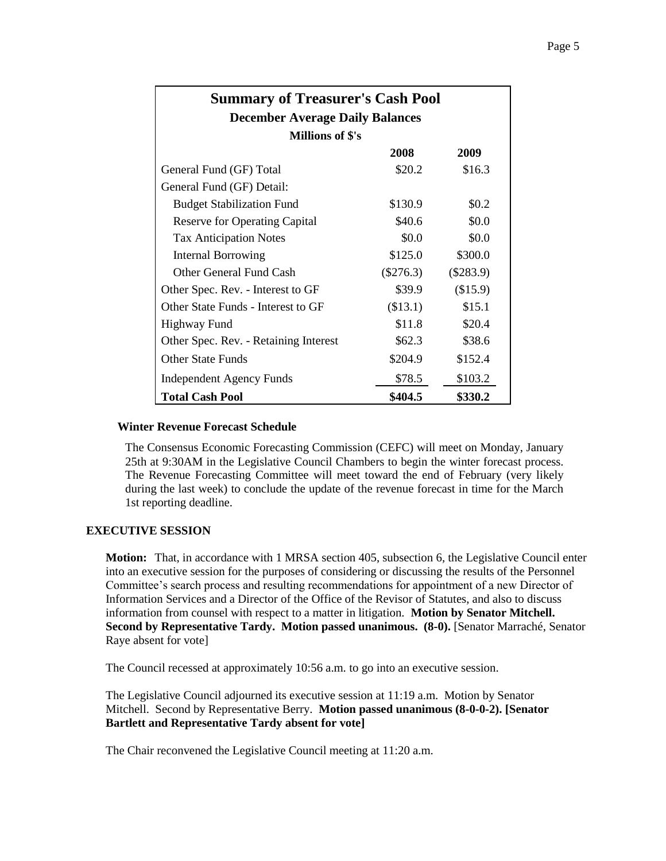| <b>Summary of Treasurer's Cash Pool</b> |             |             |  |  |  |  |
|-----------------------------------------|-------------|-------------|--|--|--|--|
| <b>December Average Daily Balances</b>  |             |             |  |  |  |  |
| Millions of \$'s                        |             |             |  |  |  |  |
|                                         | 2008        | 2009        |  |  |  |  |
| General Fund (GF) Total                 | \$20.2      | \$16.3      |  |  |  |  |
| General Fund (GF) Detail:               |             |             |  |  |  |  |
| <b>Budget Stabilization Fund</b>        | \$130.9     | \$0.2\$     |  |  |  |  |
| <b>Reserve for Operating Capital</b>    | \$40.6      | \$0.0       |  |  |  |  |
| <b>Tax Anticipation Notes</b>           | \$0.0       | \$0.0       |  |  |  |  |
| <b>Internal Borrowing</b>               | \$125.0     | \$300.0     |  |  |  |  |
| Other General Fund Cash                 | $(\$276.3)$ | $(\$283.9)$ |  |  |  |  |
| Other Spec. Rev. - Interest to GF       | \$39.9      | (\$15.9)    |  |  |  |  |
| Other State Funds - Interest to GF      | (\$13.1)    | \$15.1      |  |  |  |  |
| Highway Fund                            | \$11.8      | \$20.4      |  |  |  |  |
| Other Spec. Rev. - Retaining Interest   | \$62.3\$    | \$38.6      |  |  |  |  |
| Other State Funds                       | \$204.9     | \$152.4     |  |  |  |  |
| <b>Independent Agency Funds</b>         | \$78.5      | \$103.2     |  |  |  |  |
| Total Cash Pool                         | \$404.5     | \$330.2     |  |  |  |  |

### **Winter Revenue Forecast Schedule**

The Consensus Economic Forecasting Commission (CEFC) will meet on Monday, January 25th at 9:30AM in the Legislative Council Chambers to begin the winter forecast process. The Revenue Forecasting Committee will meet toward the end of February (very likely during the last week) to conclude the update of the revenue forecast in time for the March 1st reporting deadline.

## **EXECUTIVE SESSION**

**Motion:** That, in accordance with 1 MRSA section 405, subsection 6, the Legislative Council enter into an executive session for the purposes of considering or discussing the results of the Personnel Committee's search process and resulting recommendations for appointment of a new Director of Information Services and a Director of the Office of the Revisor of Statutes, and also to discuss information from counsel with respect to a matter in litigation. **Motion by Senator Mitchell. Second by Representative Tardy. Motion passed unanimous.**  $(8-0)$ **.** [Senator Marraché, Senator Raye absent for vote]

The Council recessed at approximately 10:56 a.m. to go into an executive session.

The Legislative Council adjourned its executive session at 11:19 a.m. Motion by Senator Mitchell. Second by Representative Berry. **Motion passed unanimous (8-0-0-2). [Senator Bartlett and Representative Tardy absent for vote]**

The Chair reconvened the Legislative Council meeting at 11:20 a.m.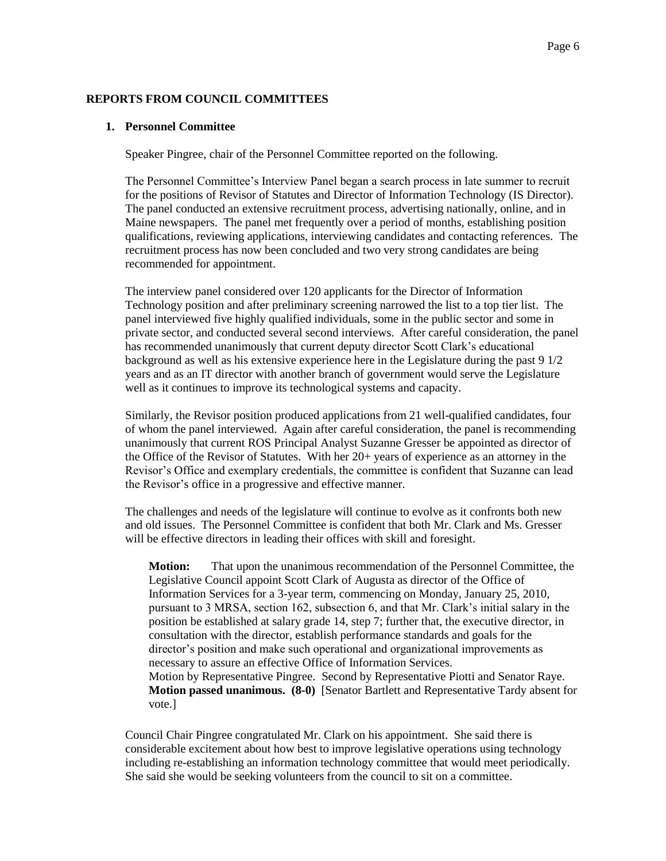## **REPORTS FROM COUNCIL COMMITTEES**

### **1. Personnel Committee**

Speaker Pingree, chair of the Personnel Committee reported on the following.

The Personnel Committee's Interview Panel began a search process in late summer to recruit for the positions of Revisor of Statutes and Director of Information Technology (IS Director). The panel conducted an extensive recruitment process, advertising nationally, online, and in Maine newspapers. The panel met frequently over a period of months, establishing position qualifications, reviewing applications, interviewing candidates and contacting references. The recruitment process has now been concluded and two very strong candidates are being recommended for appointment.

The interview panel considered over 120 applicants for the Director of Information Technology position and after preliminary screening narrowed the list to a top tier list. The panel interviewed five highly qualified individuals, some in the public sector and some in private sector, and conducted several second interviews. After careful consideration, the panel has recommended unanimously that current deputy director Scott Clark's educational background as well as his extensive experience here in the Legislature during the past 9 1/2 years and as an IT director with another branch of government would serve the Legislature well as it continues to improve its technological systems and capacity.

Similarly, the Revisor position produced applications from 21 well-qualified candidates, four of whom the panel interviewed. Again after careful consideration, the panel is recommending unanimously that current ROS Principal Analyst Suzanne Gresser be appointed as director of the Office of the Revisor of Statutes. With her 20+ years of experience as an attorney in the Revisor's Office and exemplary credentials, the committee is confident that Suzanne can lead the Revisor's office in a progressive and effective manner.

The challenges and needs of the legislature will continue to evolve as it confronts both new and old issues. The Personnel Committee is confident that both Mr. Clark and Ms. Gresser will be effective directors in leading their offices with skill and foresight.

**Motion:** That upon the unanimous recommendation of the Personnel Committee, the Legislative Council appoint Scott Clark of Augusta as director of the Office of Information Services for a 3-year term, commencing on Monday, January 25, 2010, pursuant to 3 MRSA, section 162, subsection 6, and that Mr. Clark's initial salary in the position be established at salary grade 14, step 7; further that, the executive director, in consultation with the director, establish performance standards and goals for the director's position and make such operational and organizational improvements as necessary to assure an effective Office of Information Services. Motion by Representative Pingree. Second by Representative Piotti and Senator Raye. **Motion passed unanimous. (8-0)** [Senator Bartlett and Representative Tardy absent for vote.]

Council Chair Pingree congratulated Mr. Clark on his appointment. She said there is considerable excitement about how best to improve legislative operations using technology including re-establishing an information technology committee that would meet periodically. She said she would be seeking volunteers from the council to sit on a committee.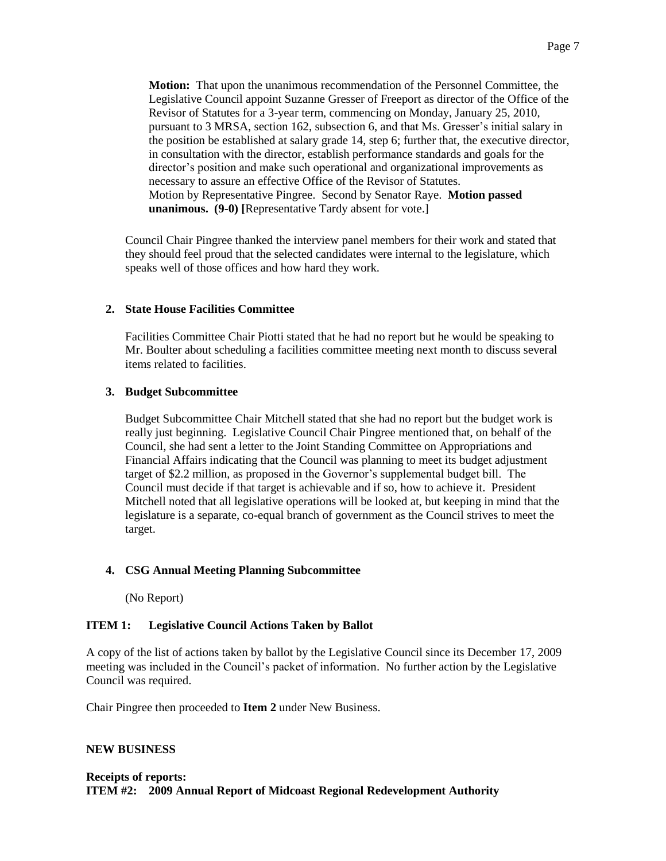**Motion:** That upon the unanimous recommendation of the Personnel Committee, the Legislative Council appoint Suzanne Gresser of Freeport as director of the Office of the Revisor of Statutes for a 3-year term, commencing on Monday, January 25, 2010, pursuant to 3 MRSA, section 162, subsection 6, and that Ms. Gresser's initial salary in the position be established at salary grade 14, step 6; further that, the executive director, in consultation with the director, establish performance standards and goals for the director's position and make such operational and organizational improvements as necessary to assure an effective Office of the Revisor of Statutes. Motion by Representative Pingree. Second by Senator Raye. **Motion passed unanimous. (9-0) [**Representative Tardy absent for vote.]

Council Chair Pingree thanked the interview panel members for their work and stated that they should feel proud that the selected candidates were internal to the legislature, which speaks well of those offices and how hard they work.

# **2. State House Facilities Committee**

Facilities Committee Chair Piotti stated that he had no report but he would be speaking to Mr. Boulter about scheduling a facilities committee meeting next month to discuss several items related to facilities.

# **3. Budget Subcommittee**

Budget Subcommittee Chair Mitchell stated that she had no report but the budget work is really just beginning. Legislative Council Chair Pingree mentioned that, on behalf of the Council, she had sent a letter to the Joint Standing Committee on Appropriations and Financial Affairs indicating that the Council was planning to meet its budget adjustment target of \$2.2 million, as proposed in the Governor's supplemental budget bill. The Council must decide if that target is achievable and if so, how to achieve it. President Mitchell noted that all legislative operations will be looked at, but keeping in mind that the legislature is a separate, co-equal branch of government as the Council strives to meet the target.

# **4. CSG Annual Meeting Planning Subcommittee**

(No Report)

# **ITEM 1: Legislative Council Actions Taken by Ballot**

A copy of the list of actions taken by ballot by the Legislative Council since its December 17, 2009 meeting was included in the Council's packet of information. No further action by the Legislative Council was required.

Chair Pingree then proceeded to **Item 2** under New Business.

## **NEW BUSINESS**

## **Receipts of reports: ITEM #2: 2009 Annual Report of Midcoast Regional Redevelopment Authority**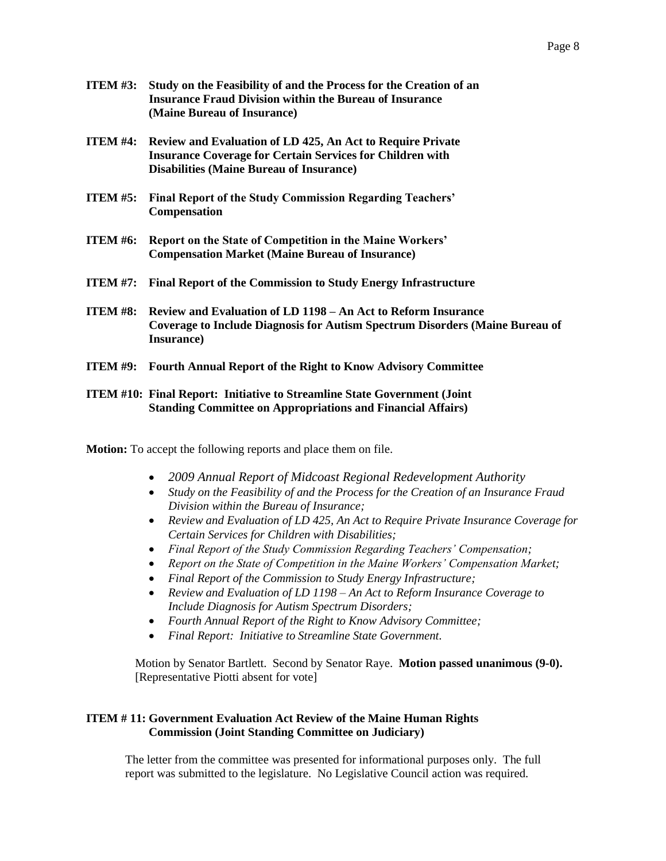- **ITEM #3: Study on the Feasibility of and the Process for the Creation of an Insurance Fraud Division within the Bureau of Insurance (Maine Bureau of Insurance)**
- **ITEM #4: Review and Evaluation of LD 425, An Act to Require Private Insurance Coverage for Certain Services for Children with Disabilities (Maine Bureau of Insurance)**
- **ITEM #5: Final Report of the Study Commission Regarding Teachers' Compensation**
- **ITEM #6: Report on the State of Competition in the Maine Workers' Compensation Market (Maine Bureau of Insurance)**
- **ITEM #7: Final Report of the Commission to Study Energy Infrastructure**
- **ITEM #8: Review and Evaluation of LD 1198 – An Act to Reform Insurance Coverage to Include Diagnosis for Autism Spectrum Disorders (Maine Bureau of Insurance)**
- **ITEM #9: Fourth Annual Report of the Right to Know Advisory Committee**

## **ITEM #10: Final Report: Initiative to Streamline State Government (Joint Standing Committee on Appropriations and Financial Affairs)**

**Motion:** To accept the following reports and place them on file.

- *2009 Annual Report of Midcoast Regional Redevelopment Authority*
- *Study on the Feasibility of and the Process for the Creation of an Insurance Fraud Division within the Bureau of Insurance;*
- *Review and Evaluation of LD 425, An Act to Require Private Insurance Coverage for Certain Services for Children with Disabilities;*
- *Final Report of the Study Commission Regarding Teachers' Compensation;*
- *Report on the State of Competition in the Maine Workers' Compensation Market;*
- *Final Report of the Commission to Study Energy Infrastructure;*
- *Review and Evaluation of LD 1198 – An Act to Reform Insurance Coverage to Include Diagnosis for Autism Spectrum Disorders;*
- *Fourth Annual Report of the Right to Know Advisory Committee;*
- *Final Report: Initiative to Streamline State Government.*

Motion by Senator Bartlett. Second by Senator Raye. **Motion passed unanimous (9-0).** [Representative Piotti absent for vote]

# **ITEM # 11: Government Evaluation Act Review of the Maine Human Rights Commission (Joint Standing Committee on Judiciary)**

The letter from the committee was presented for informational purposes only. The full report was submitted to the legislature. No Legislative Council action was required.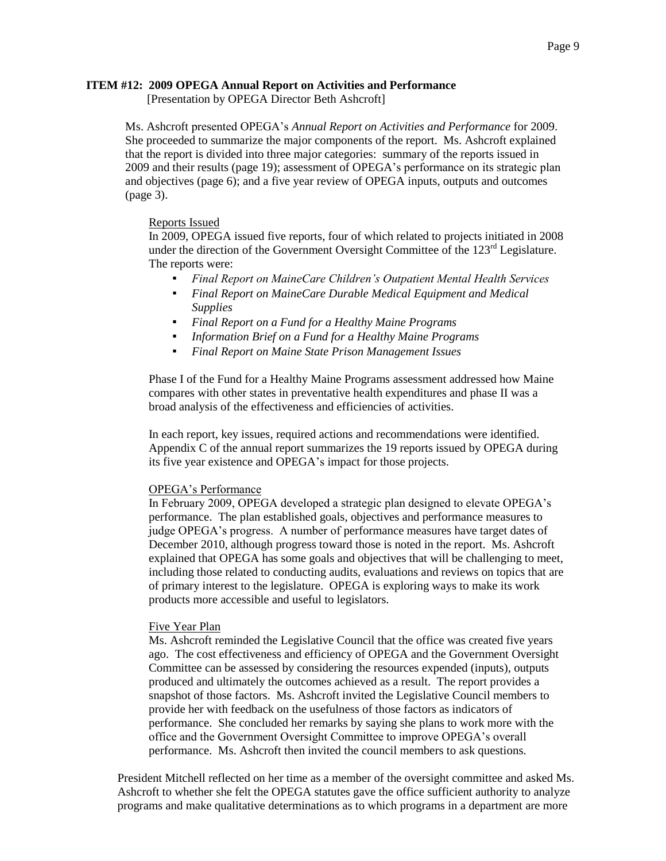### **ITEM #12: 2009 OPEGA Annual Report on Activities and Performance**

[Presentation by OPEGA Director Beth Ashcroft]

Ms. Ashcroft presented OPEGA's *Annual Report on Activities and Performance* for 2009. She proceeded to summarize the major components of the report. Ms. Ashcroft explained that the report is divided into three major categories: summary of the reports issued in 2009 and their results (page 19); assessment of OPEGA's performance on its strategic plan and objectives (page 6); and a five year review of OPEGA inputs, outputs and outcomes (page 3).

### Reports Issued

In 2009, OPEGA issued five reports, four of which related to projects initiated in 2008 under the direction of the Government Oversight Committee of the  $123<sup>rd</sup>$  Legislature. The reports were:

- *Final Report on MaineCare Children's Outpatient Mental Health Services*
- *Final Report on MaineCare Durable Medical Equipment and Medical Supplies*
- *Final Report on a Fund for a Healthy Maine Programs*
- *Information Brief on a Fund for a Healthy Maine Programs*
- *Final Report on Maine State Prison Management Issues*

Phase I of the Fund for a Healthy Maine Programs assessment addressed how Maine compares with other states in preventative health expenditures and phase II was a broad analysis of the effectiveness and efficiencies of activities.

In each report, key issues, required actions and recommendations were identified. Appendix C of the annual report summarizes the 19 reports issued by OPEGA during its five year existence and OPEGA's impact for those projects.

#### OPEGA's Performance

In February 2009, OPEGA developed a strategic plan designed to elevate OPEGA's performance. The plan established goals, objectives and performance measures to judge OPEGA's progress. A number of performance measures have target dates of December 2010, although progress toward those is noted in the report. Ms. Ashcroft explained that OPEGA has some goals and objectives that will be challenging to meet, including those related to conducting audits, evaluations and reviews on topics that are of primary interest to the legislature. OPEGA is exploring ways to make its work products more accessible and useful to legislators.

#### Five Year Plan

Ms. Ashcroft reminded the Legislative Council that the office was created five years ago. The cost effectiveness and efficiency of OPEGA and the Government Oversight Committee can be assessed by considering the resources expended (inputs), outputs produced and ultimately the outcomes achieved as a result. The report provides a snapshot of those factors. Ms. Ashcroft invited the Legislative Council members to provide her with feedback on the usefulness of those factors as indicators of performance. She concluded her remarks by saying she plans to work more with the office and the Government Oversight Committee to improve OPEGA's overall performance. Ms. Ashcroft then invited the council members to ask questions.

President Mitchell reflected on her time as a member of the oversight committee and asked Ms. Ashcroft to whether she felt the OPEGA statutes gave the office sufficient authority to analyze programs and make qualitative determinations as to which programs in a department are more